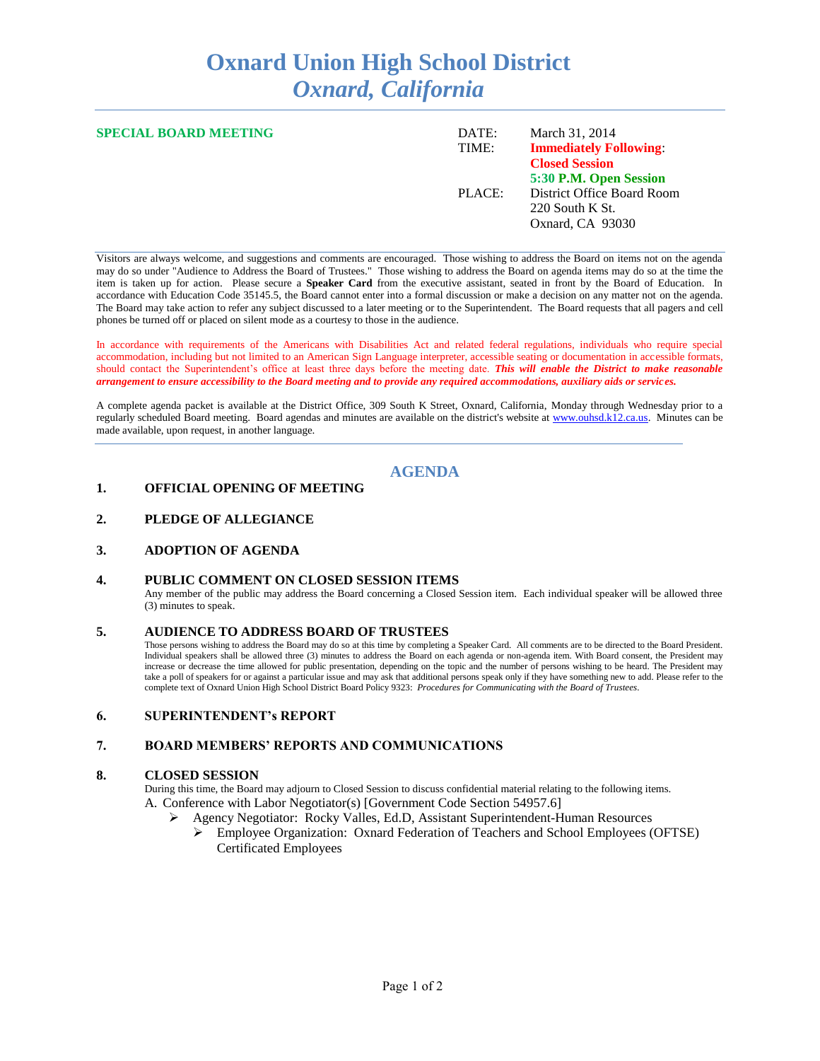# **Oxnard Union High School District** *Oxnard, California*

| <b>SPECIAL BOARD MEETING</b> | DATE:<br>TIME: | March 31, 2014<br><b>Immediately Following:</b><br><b>Closed Session</b>                    |
|------------------------------|----------------|---------------------------------------------------------------------------------------------|
|                              | PLACE:         | 5:30 P.M. Open Session<br>District Office Board Room<br>220 South K St.<br>Oxnard, CA 93030 |

Visitors are always welcome, and suggestions and comments are encouraged. Those wishing to address the Board on items not on the agenda may do so under "Audience to Address the Board of Trustees." Those wishing to address the Board on agenda items may do so at the time the item is taken up for action. Please secure a **Speaker Card** from the executive assistant, seated in front by the Board of Education. In accordance with Education Code 35145.5, the Board cannot enter into a formal discussion or make a decision on any matter not on the agenda. The Board may take action to refer any subject discussed to a later meeting or to the Superintendent. The Board requests that all pagers and cell phones be turned off or placed on silent mode as a courtesy to those in the audience.

In accordance with requirements of the Americans with Disabilities Act and related federal regulations, individuals who require special accommodation, including but not limited to an American Sign Language interpreter, accessible seating or documentation in accessible formats, should contact the Superintendent's office at least three days before the meeting date. *This will enable the District to make reasonable arrangement to ensure accessibility to the Board meeting and to provide any required accommodations, auxiliary aids or services.* 

A complete agenda packet is available at the District Office, 309 South K Street, Oxnard, California, Monday through Wednesday prior to a regularly scheduled Board meeting. Board agendas and minutes are available on the district's website at [www.ouhsd.k12.ca.us.](http://www.ouhsd.k12.ca.us/)Minutes can be made available, upon request, in another language.

## **AGENDA**

#### **1. OFFICIAL OPENING OF MEETING**

### **2. PLEDGE OF ALLEGIANCE**

#### **3. ADOPTION OF AGENDA**

#### **4. PUBLIC COMMENT ON CLOSED SESSION ITEMS**

Any member of the public may address the Board concerning a Closed Session item. Each individual speaker will be allowed three (3) minutes to speak.

#### **5. AUDIENCE TO ADDRESS BOARD OF TRUSTEES**

Those persons wishing to address the Board may do so at this time by completing a Speaker Card. All comments are to be directed to the Board President. Individual speakers shall be allowed three (3) minutes to address the Board on each agenda or non-agenda item. With Board consent, the President may increase or decrease the time allowed for public presentation, depending on the topic and the number of persons wishing to be heard. The President may take a poll of speakers for or against a particular issue and may ask that additional persons speak only if they have something new to add. Please refer to the complete text of Oxnard Union High School District Board Policy 9323: *Procedures for Communicating with the Board of Trustees.*

### **6. SUPERINTENDENT's REPORT**

#### **7. BOARD MEMBERS' REPORTS AND COMMUNICATIONS**

#### **8. CLOSED SESSION**

During this time, the Board may adjourn to Closed Session to discuss confidential material relating to the following items. A. Conference with Labor Negotiator(s) [Government Code Section 54957.6]

- Agency Negotiator: Rocky Valles, Ed.D, Assistant Superintendent-Human Resources
	- Employee Organization: Oxnard Federation of Teachers and School Employees (OFTSE) Certificated Employees